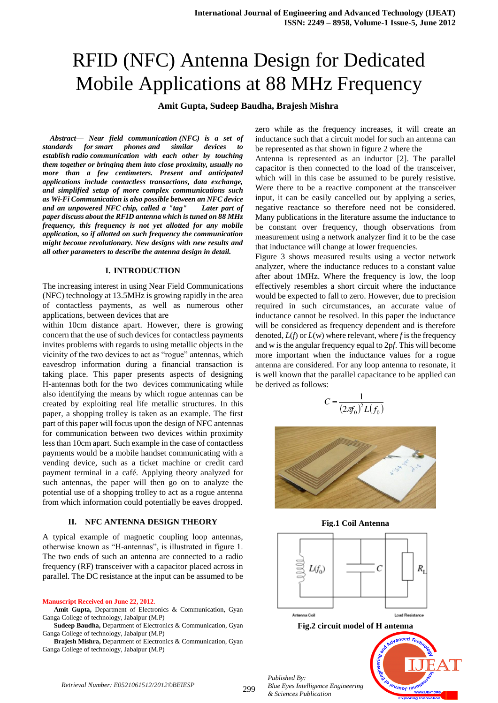# RFID (NFC) Antenna Design for Dedicated Mobile Applications at 88 MHz Frequency

# **Amit Gupta, Sudeep Baudha, Brajesh Mishra**

*Abstract— Near field communication (NFC) is a set of standards for smart phones and similar devices establish radio communication with each other by touching them together or bringing them into close proximity, usually no more than a few centimeters. Present and anticipated applications include contactless transactions, data exchange, and simplified setup of more complex communications such as Wi-Fi Communication is also possible between an NFC device and an unpowered NFC chip, called a "tag" Later part of paper discuss about the RFID antenna which is tuned on 88 MHz frequency, this frequency is not yet allotted for any mobile application, so if allotted on such frequency the communication might become revolutionary. New designs with new results and all other parameters to describe the antenna design in detail.*

#### **I. INTRODUCTION**

The increasing interest in using Near Field Communications (NFC) technology at 13.5MHz is growing rapidly in the area of contactless payments, as well as numerous other applications, between devices that are

within 10cm distance apart. However, there is growing concern that the use of such devices for contactless payments invites problems with regards to using metallic objects in the vicinity of the two devices to act as "rogue" antennas, which eavesdrop information during a financial transaction is taking place. This paper presents aspects of designing H-antennas both for the two devices communicating while also identifying the means by which rogue antennas can be created by exploiting real life metallic structures. In this paper, a shopping trolley is taken as an example. The first part of this paper will focus upon the design of NFC antennas for communication between two devices within proximity less than 10cm apart. Such example in the case of contactless payments would be a mobile handset communicating with a vending device, such as a ticket machine or credit card payment terminal in a café. Applying theory analyzed for such antennas, the paper will then go on to analyze the potential use of a shopping trolley to act as a rogue antenna from which information could potentially be eaves dropped.

#### **II. NFC ANTENNA DESIGN THEORY**

A typical example of magnetic coupling loop antennas, otherwise known as "H-antennas", is illustrated in figure 1. The two ends of such an antenna are connected to a radio frequency (RF) transceiver with a capacitor placed across in parallel. The DC resistance at the input can be assumed to be

#### **Manuscript Received on June 22, 2012**.

**Amit Gupta,** Department of Electronics & Communication, Gyan Ganga College of technology, Jabalpur (M.P)

**Sudeep Baudha,** Department of Electronics & Communication, Gyan Ganga College of technology, Jabalpur (M.P)

**Brajesh Mishra,** Department of Electronics & Communication, Gyan Ganga College of technology, Jabalpur (M.P)

zero while as the frequency increases, it will create an inductance such that a circuit model for such an antenna can be represented as that shown in figure 2 where the

Antenna is represented as an inductor [2]. The parallel capacitor is then connected to the load of the transceiver, which will in this case be assumed to be purely resistive. Were there to be a reactive component at the transceiver input, it can be easily cancelled out by applying a series, negative reactance so therefore need not be considered. Many publications in the literature assume the inductance to be constant over frequency, though observations from measurement using a network analyzer find it to be the case that inductance will change at lower frequencies.

Figure 3 shows measured results using a vector network analyzer, where the inductance reduces to a constant value after about 1MHz. Where the frequency is low, the loop effectively resembles a short circuit where the inductance would be expected to fall to zero. However, due to precision required in such circumstances, an accurate value of inductance cannot be resolved. In this paper the inductance will be considered as frequency dependent and is therefore denoted,  $L(f)$  or  $L(w)$  where relevant, where *f* is the frequency and w is the angular frequency equal to 2p*f*. This will become more important when the inductance values for a rogue antenna are considered. For any loop antenna to resonate, it is well known that the parallel capacitance to be applied can be derived as follows:

$$
C = \frac{1}{(2\pi f_0)^2 L(f_0)}
$$



**Fig.1 Coil Antenna**

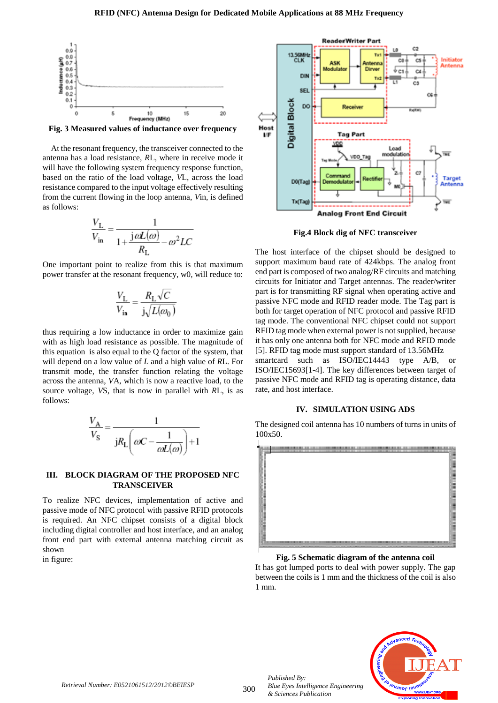

**Fig. 3 Measured values of inductance over frequency**

At the resonant frequency, the transceiver connected to the antenna has a load resistance, *R*L, where in receive mode it will have the following system frequency response function, based on the ratio of the load voltage, *V*L, across the load resistance compared to the input voltage effectively resulting from the current flowing in the loop antenna, *V*in, is defined as follows:

$$
\frac{V_{\rm L}}{V_{\rm in}} = \frac{1}{1 + \frac{j\omega L(\omega)}{R_{\rm L}} - \omega^2 LC}
$$

One important point to realize from this is that maximum power transfer at the resonant frequency, w0, will reduce to:

$$
\frac{V_{\rm L}}{V_{\rm in}} = \frac{R_{\rm L}\sqrt{C}}{j\sqrt{L(\omega_0)}}
$$

thus requiring a low inductance in order to maximize gain with as high load resistance as possible. The magnitude of this equation is also equal to the Q factor of the system, that will depend on a low value of *L* and a high value of *R*L. For transmit mode, the transfer function relating the voltage across the antenna, *V*A, which is now a reactive load, to the source voltage, *V*S, that is now in parallel with *R*L, is as follows:

$$
\frac{V_{\rm A}}{V_{\rm S}} = \frac{1}{jR_{\rm L}\left(\omega C - \frac{1}{\omega L(\omega)}\right) + 1}
$$

### **III. BLOCK DIAGRAM OF THE PROPOSED NFC TRANSCEIVER**

To realize NFC devices, implementation of active and passive mode of NFC protocol with passive RFID protocols is required. An NFC chipset consists of a digital block including digital controller and host interface, and an analog front end part with external antenna matching circuit as shown

in figure:



**Fig.4 Block dig of NFC transceiver**

The host interface of the chipset should be designed to support maximum baud rate of 424kbps. The analog front end part is composed of two analog/RF circuits and matching circuits for Initiator and Target antennas. The reader/writer part is for transmitting RF signal when operating active and passive NFC mode and RFID reader mode. The Tag part is both for target operation of NFC protocol and passive RFID tag mode. The conventional NFC chipset could not support RFID tag mode when external power is not supplied, because it has only one antenna both for NFC mode and RFID mode [5]. RFID tag mode must support standard of 13.56MHz smartcard such as ISO/IEC14443 type A/B, or ISO/IEC15693[1-4]. The key differences between target of passive NFC mode and RFID tag is operating distance, data rate, and host interface.

#### **IV. SIMULATION USING ADS**

The designed coil antenna has 10 numbers of turns in units of 100x50.



**Fig. 5 Schematic diagram of the antenna coil**

It has got lumped ports to deal with power supply. The gap between the coils is 1 mm and the thickness of the coil is also 1 mm.



*Published By:*

*& Sciences Publication* 

*Blue Eyes Intelligence Engineering*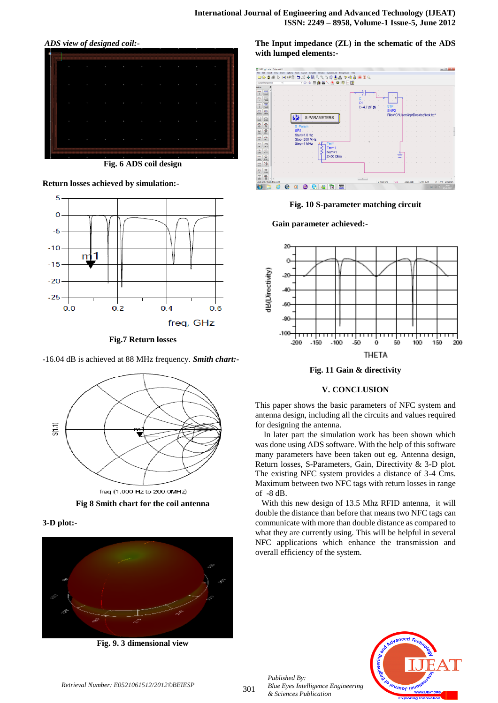*ADS view of designed coil:-*



**Fig. 6 ADS coil design**

**Return losses achieved by simulation:-**



**Fig.7 Return losses**

-16.04 dB is achieved at 88 MHz frequency. *Smith chart:-*



**Fig 8 Smith chart for the coil antenna**

**3-D plot:-**



**Fig. 9. 3 dimensional view**

**The Input impedance (ZL) in the schematic of the ADS with lumped elements:-**





**Gain parameter achieved:-**





## **V. CONCLUSION**

This paper shows the basic parameters of NFC system and antenna design, including all the circuits and values required for designing the antenna.

 In later part the simulation work has been shown which was done using ADS software. With the help of this software many parameters have been taken out eg. Antenna design, Return losses, S-Parameters, Gain, Directivity & 3-D plot. The existing NFC system provides a distance of 3-4 Cms. Maximum between two NFC tags with return losses in range of -8 dB.

 With this new design of 13.5 Mhz RFID antenna, it will double the distance than before that means two NFC tags can communicate with more than double distance as compared to what they are currently using. This will be helpful in several NFC applications which enhance the transmission and overall efficiency of the system.



*Published By:*

*& Sciences Publication* 

*Blue Eyes Intelligence Engineering*